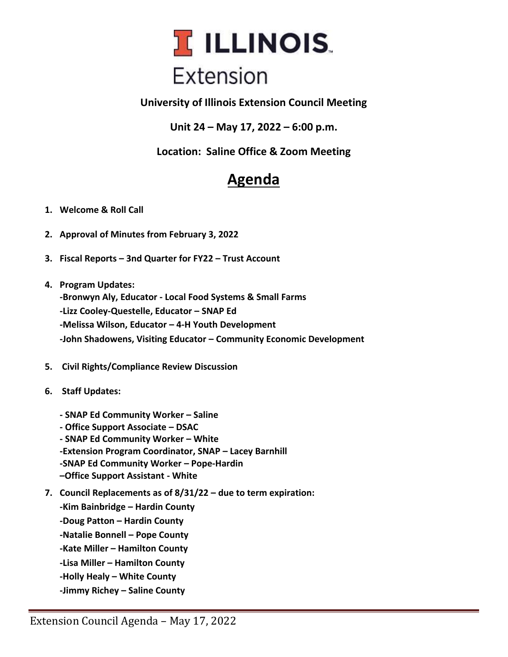

**University of Illinois Extension Council Meeting**

**Unit 24 – May 17, 2022 – 6:00 p.m.**

**Location: Saline Office & Zoom Meeting**

## **Agenda**

- **1. Welcome & Roll Call**
- **2. Approval of Minutes from February 3, 2022**
- **3. Fiscal Reports – 3nd Quarter for FY22 – Trust Account**
- **4. Program Updates: -Bronwyn Aly, Educator - Local Food Systems & Small Farms -Lizz Cooley-Questelle, Educator – SNAP Ed -Melissa Wilson, Educator – 4-H Youth Development -John Shadowens, Visiting Educator – Community Economic Development**
- **5. Civil Rights/Compliance Review Discussion**
- **6. Staff Updates:**
	- **- SNAP Ed Community Worker – Saline**
	- **- Office Support Associate – DSAC**
	- **- SNAP Ed Community Worker – White -Extension Program Coordinator, SNAP – Lacey Barnhill -SNAP Ed Community Worker – Pope-Hardin –Office Support Assistant - White**
- **7. Council Replacements as of 8/31/22 – due to term expiration:**

**-Kim Bainbridge – Hardin County -Doug Patton – Hardin County -Natalie Bonnell – Pope County -Kate Miller – Hamilton County -Lisa Miller – Hamilton County -Holly Healy – White County -Jimmy Richey – Saline County**